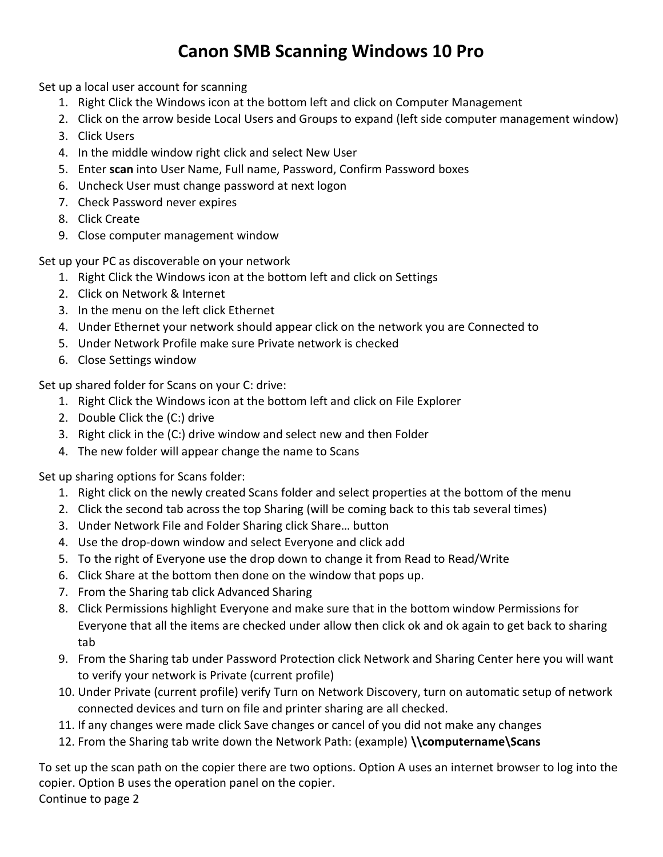## Canon SMB Scanning Windows 10 Pro

Set up a local user account for scanning

- 1. Right Click the Windows icon at the bottom left and click on Computer Management
- 2. Click on the arrow beside Local Users and Groups to expand (left side computer management window)
- 3. Click Users
- 4. In the middle window right click and select New User
- 5. Enter scan into User Name, Full name, Password, Confirm Password boxes
- 6. Uncheck User must change password at next logon
- 7. Check Password never expires
- 8. Click Create
- 9. Close computer management window

Set up your PC as discoverable on your network

- 1. Right Click the Windows icon at the bottom left and click on Settings
- 2. Click on Network & Internet
- 3. In the menu on the left click Ethernet
- 4. Under Ethernet your network should appear click on the network you are Connected to
- 5. Under Network Profile make sure Private network is checked
- 6. Close Settings window

Set up shared folder for Scans on your C: drive:

- 1. Right Click the Windows icon at the bottom left and click on File Explorer
- 2. Double Click the (C:) drive
- 3. Right click in the (C:) drive window and select new and then Folder
- 4. The new folder will appear change the name to Scans

Set up sharing options for Scans folder:

- 1. Right click on the newly created Scans folder and select properties at the bottom of the menu
- 2. Click the second tab across the top Sharing (will be coming back to this tab several times)
- 3. Under Network File and Folder Sharing click Share… button
- 4. Use the drop-down window and select Everyone and click add
- 5. To the right of Everyone use the drop down to change it from Read to Read/Write
- 6. Click Share at the bottom then done on the window that pops up.
- 7. From the Sharing tab click Advanced Sharing
- 8. Click Permissions highlight Everyone and make sure that in the bottom window Permissions for Everyone that all the items are checked under allow then click ok and ok again to get back to sharing tab
- 9. From the Sharing tab under Password Protection click Network and Sharing Center here you will want to verify your network is Private (current profile)
- 10. Under Private (current profile) verify Turn on Network Discovery, turn on automatic setup of network connected devices and turn on file and printer sharing are all checked.
- 11. If any changes were made click Save changes or cancel of you did not make any changes
- 12. From the Sharing tab write down the Network Path: (example) \\computername\Scans

To set up the scan path on the copier there are two options. Option A uses an internet browser to log into the copier. Option B uses the operation panel on the copier. Continue to page 2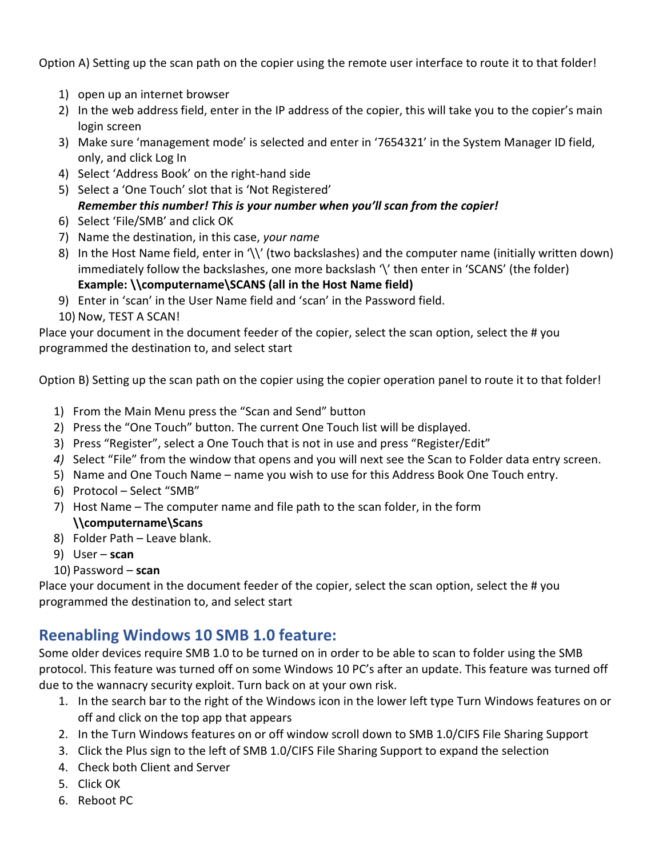Option A) Setting up the scan path on the copier using the remote user interface to route it to that folder!

- 1) open up an internet browser
- 2) In the web address field, enter in the IP address of the copier, this will take you to the copier's main login screen
- 3) Make sure 'management mode' is selected and enter in '7654321' in the System Manager ID field, only, and click Log In
- 4) Select 'Address Book' on the right-hand side
- 5) Select a 'One Touch' slot that is 'Not Registered' Remember this number! This is your number when you'll scan from the copier!
- 6) Select 'File/SMB' and click OK
- 7) Name the destination, in this case, your name
- 8) In the Host Name field, enter in '\\' (two backslashes) and the computer name (initially written down) immediately follow the backslashes, one more backslash '\' then enter in 'SCANS' (the folder) Example: \\computername\SCANS (all in the Host Name field)
- 9) Enter in 'scan' in the User Name field and 'scan' in the Password field.
- 10) Now, TEST A SCAN!

Place your document in the document feeder of the copier, select the scan option, select the # you programmed the destination to, and select start

Option B) Setting up the scan path on the copier using the copier operation panel to route it to that folder!

- 1) From the Main Menu press the "Scan and Send" button
- 2) Press the "One Touch" button. The current One Touch list will be displayed.
- 3) Press "Register", select a One Touch that is not in use and press "Register/Edit"
- 4) Select "File" from the window that opens and you will next see the Scan to Folder data entry screen.
- 5) Name and One Touch Name name you wish to use for this Address Book One Touch entry.
- 6) Protocol Select "SMB"
- 7) Host Name The computer name and file path to the scan folder, in the form \\computername\Scans
- 8) Folder Path Leave blank.
- 9) User scan
- 10) Password scan

Place your document in the document feeder of the copier, select the scan option, select the # you programmed the destination to, and select start

## Reenabling Windows 10 SMB 1.0 feature:

Some older devices require SMB 1.0 to be turned on in order to be able to scan to folder using the SMB protocol. This feature was turned off on some Windows 10 PC's after an update. This feature was turned off due to the wannacry security exploit. Turn back on at your own risk.

- 1. In the search bar to the right of the Windows icon in the lower left type Turn Windows features on or off and click on the top app that appears
- 2. In the Turn Windows features on or off window scroll down to SMB 1.0/CIFS File Sharing Support
- 3. Click the Plus sign to the left of SMB 1.0/CIFS File Sharing Support to expand the selection
- 4. Check both Client and Server
- 5. Click OK
- 6. Reboot PC